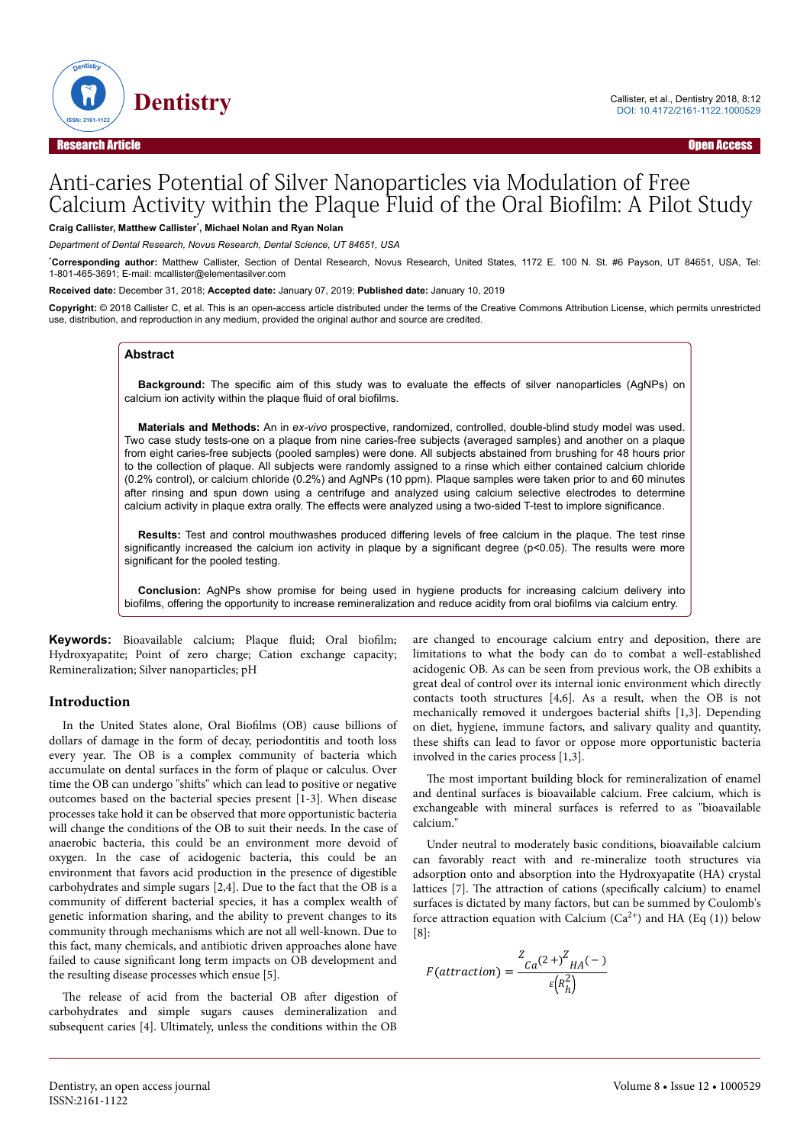

# Anti-caries Potential of Silver Nanoparticles via Modulation of Free Calcium Activity within the Plaque Fluid of the Oral Biofilm: A Pilot Study

**Craig Callister, Matthew Callister**\* **, Michael Nolan and Ryan Nolan**

*Department of Dental Research, Novus Research, Dental Science, UT 84651, USA*

\***Corresponding author:** Matthew Callister, Section of Dental Research, Novus Research, United States, 1172 E. 100 N. St. #6 Payson, UT 84651, USA, Tel: 1-801-465-3691; E-mail: mcallister@elementasilver.com

**Received date:** December 31, 2018; **Accepted date:** January 07, 2019; **Published date:** January 10, 2019

**Copyright:** © 2018 Callister C, et al. This is an open-access article distributed under the terms of the Creative Commons Attribution License, which permits unrestricted use, distribution, and reproduction in any medium, provided the original author and source are credited.

#### **Abstract**

**Background:** The specific aim of this study was to evaluate the effects of silver nanoparticles (AgNPs) on calcium ion activity within the plaque fluid of oral biofilms.

**Materials and Methods:** An in *ex-vivo* prospective, randomized, controlled, double-blind study model was used. Two case study tests-one on a plaque from nine caries-free subjects (averaged samples) and another on a plaque from eight caries-free subjects (pooled samples) were done. All subjects abstained from brushing for 48 hours prior to the collection of plaque. All subjects were randomly assigned to a rinse which either contained calcium chloride (0.2% control), or calcium chloride (0.2%) and AgNPs (10 ppm). Plaque samples were taken prior to and 60 minutes after rinsing and spun down using a centrifuge and analyzed using calcium selective electrodes to determine calcium activity in plaque extra orally. The effects were analyzed using a two-sided T-test to implore significance.

**Results:** Test and control mouthwashes produced differing levels of free calcium in the plaque. The test rinse significantly increased the calcium ion activity in plaque by a significant degree (p<0.05). The results were more significant for the pooled testing.

**Conclusion:** AgNPs show promise for being used in hygiene products for increasing calcium delivery into biofilms, offering the opportunity to increase remineralization and reduce acidity from oral biofilms via calcium entry.

**Keywords:** Bioavailable calcium; Plaque fluid; Oral biofilm; Hydroxyapatite; Point of zero charge; Cation exchange capacity; Remineralization; Silver nanoparticles; pH

#### **Introduction**

In the United States alone, Oral Biofilms (OB) cause billions of dollars of damage in the form of decay, periodontitis and tooth loss every year. Нe OB is a complex community of bacteria which accumulate on dental surfaces in the form of plaque or calculus. Over time the OB can undergo "shifts" which can lead to positive or negative outcomes based on the bacterial species present [1-3]. When disease processes take hold it can be observed that more opportunistic bacteria will change the conditions of the OB to suit their needs. In the case of anaerobic bacteria, this could be an environment more devoid of oxygen. In the case of acidogenic bacteria, this could be an environment that favors acid production in the presence of digestible carbohydrates and simple sugars [2,4]. Due to the fact that the OB is a community of different bacterial species, it has a complex wealth of genetic information sharing, and the ability to prevent changes to its community through mechanisms which are not all well-known. Due to this fact, many chemicals, and antibiotic driven approaches alone have failed to cause significant long term impacts on OB development and the resulting disease processes which ensue [5].

The release of acid from the bacterial OB after digestion of carbohydrates and simple sugars causes demineralization and subsequent caries [4]. Ultimately, unless the conditions within the OB

are changed to encourage calcium entry and deposition, there are limitations to what the body can do to combat a well-established acidogenic OB. As can be seen from previous work, the OB exhibits a great deal of control over its internal ionic environment which directly contacts tooth structures [4,6]. As a result, when the OB is not mechanically removed it undergoes bacterial shifts [1,3]. Depending on diet, hygiene, immune factors, and salivary quality and quantity, these shifts can lead to favor or oppose more opportunistic bacteria involved in the caries process [1,3].

The most important building block for remineralization of enamel and dentinal surfaces is bioavailable calcium. Free calcium, which is exchangeable with mineral surfaces is referred to as "bioavailable calcium."

Under neutral to moderately basic conditions, bioavailable calcium can favorably react with and re-mineralize tooth structures via adsorption onto and absorption into the Hydroxyapatite (HA) crystal lattices [7]. The attraction of cations (specifically calcium) to enamel surfaces is dictated by many factors, but can be summed by Coulomb's force attraction equation with Calcium  $(Ca^{2+})$  and HA (Eq (1)) below  $[8]$ :

$$
F(attraction) = \frac{Z_{Ca}(2+)^{Z}H_{A}(-)}{\varepsilon \left(R_{h}^{2}\right)}
$$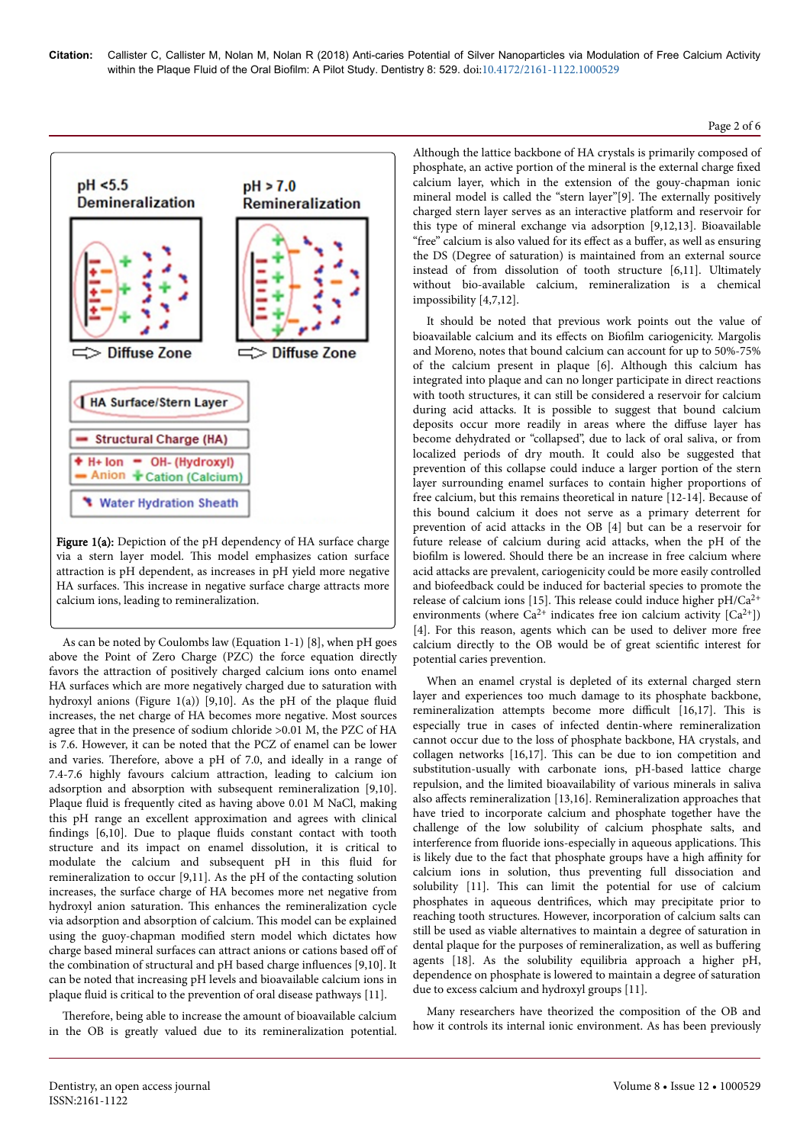

Figure 1(a): Depiction of the pH dependency of HA surface charge via a stern layer model. Нis model emphasizes cation surface attraction is pH dependent, as increases in pH yield more negative HA surfaces. This increase in negative surface charge attracts more calcium ions, leading to remineralization.

As can be noted by Coulombs law (Equation 1-1) [8], when pH goes above the Point of Zero Charge (PZC) the force equation directly favors the attraction of positively charged calcium ions onto enamel HA surfaces which are more negatively charged due to saturation with hydroxyl anions (Figure 1(a)) [9,10]. As the pH of the plaque fluid increases, the net charge of HA becomes more negative. Most sources agree that in the presence of sodium chloride >0.01 M, the PZC of HA is 7.6. However, it can be noted that the PCZ of enamel can be lower and varies. Нerefore, above a pH of 7.0, and ideally in a range of 7.4-7.6 highly favours calcium attraction, leading to calcium ion adsorption and absorption with subsequent remineralization [9,10]. Plaque fluid is frequently cited as having above 0.01 M NaCl, making this pH range an excellent approximation and agrees with clinical findings [6,10]. Due to plaque fluids constant contact with tooth structure and its impact on enamel dissolution, it is critical to modulate the calcium and subsequent pH in this fluid for remineralization to occur [9,11]. As the pH of the contacting solution increases, the surface charge of HA becomes more net negative from hydroxyl anion saturation. Нis enhances the remineralization cycle via adsorption and absorption of calcium. Нis model can be explained using the guoy-chapman modified stern model which dictates how charge based mineral surfaces can attract anions or cations based off of the combination of structural and pH based charge influences [9,10]. It can be noted that increasing pH levels and bioavailable calcium ions in plaque fluid is critical to the prevention of oral disease pathways [11].

Therefore, being able to increase the amount of bioavailable calcium in the OB is greatly valued due to its remineralization potential.

Although the lattice backbone of HA crystals is primarily composed of phosphate, an active portion of the mineral is the external charge fixed calcium layer, which in the extension of the gouy-chapman ionic mineral model is called the "stern layer"[9]. Нe externally positively charged stern layer serves as an interactive platform and reservoir for this type of mineral exchange via adsorption [9,12,13]. Bioavailable "free" calcium is also valued for its effect as a buffer, as well as ensuring the DS (Degree of saturation) is maintained from an external source instead of from dissolution of tooth structure [6,11]. Ultimately without bio-available calcium, remineralization is a chemical impossibility [4,7,12].

It should be noted that previous work points out the value of bioavailable calcium and its effects on Biofilm cariogenicity. Margolis and Moreno, notes that bound calcium can account for up to 50%-75% of the calcium present in plaque [6]. Although this calcium has integrated into plaque and can no longer participate in direct reactions with tooth structures, it can still be considered a reservoir for calcium during acid attacks. It is possible to suggest that bound calcium deposits occur more readily in areas where the diffuse layer has become dehydrated or "collapsed", due to lack of oral saliva, or from localized periods of dry mouth. It could also be suggested that prevention of this collapse could induce a larger portion of the stern layer surrounding enamel surfaces to contain higher proportions of free calcium, but this remains theoretical in nature [12-14]. Because of this bound calcium it does not serve as a primary deterrent for prevention of acid attacks in the OB [4] but can be a reservoir for future release of calcium during acid attacks, when the pH of the biofilm is lowered. Should there be an increase in free calcium where acid attacks are prevalent, cariogenicity could be more easily controlled and biofeedback could be induced for bacterial species to promote the release of calcium ions [15]. Нis release could induce higher pH/Ca2+ environments (where  $Ca^{2+}$  indicates free ion calcium activity  $[Ca^{2+}]$ ) [4]. For this reason, agents which can be used to deliver more free calcium directly to the OB would be of great scientific interest for potential caries prevention.

When an enamel crystal is depleted of its external charged stern layer and experiences too much damage to its phosphate backbone, remineralization attempts become more difficult [16,17]. This is especially true in cases of infected dentin-where remineralization cannot occur due to the loss of phosphate backbone, HA crystals, and collagen networks [16,17]. Нis can be due to ion competition and substitution-usually with carbonate ions, pH-based lattice charge repulsion, and the limited bioavailability of various minerals in saliva also affects remineralization  $[13,16]$ . Remineralization approaches that have tried to incorporate calcium and phosphate together have the challenge of the low solubility of calcium phosphate salts, and interference from fluoride ions-especially in aqueous applications. Нis is likely due to the fact that phosphate groups have a high affinity for calcium ions in solution, thus preventing full dissociation and solubility [11]. Нis can limit the potential for use of calcium phosphates in aqueous dentrifices, which may precipitate prior to reaching tooth structures. However, incorporation of calcium salts can still be used as viable alternatives to maintain a degree of saturation in dental plaque for the purposes of remineralization, as well as buffering agents [18]. As the solubility equilibria approach a higher pH, dependence on phosphate is lowered to maintain a degree of saturation due to excess calcium and hydroxyl groups [11].

Many researchers have theorized the composition of the OB and how it controls its internal ionic environment. As has been previously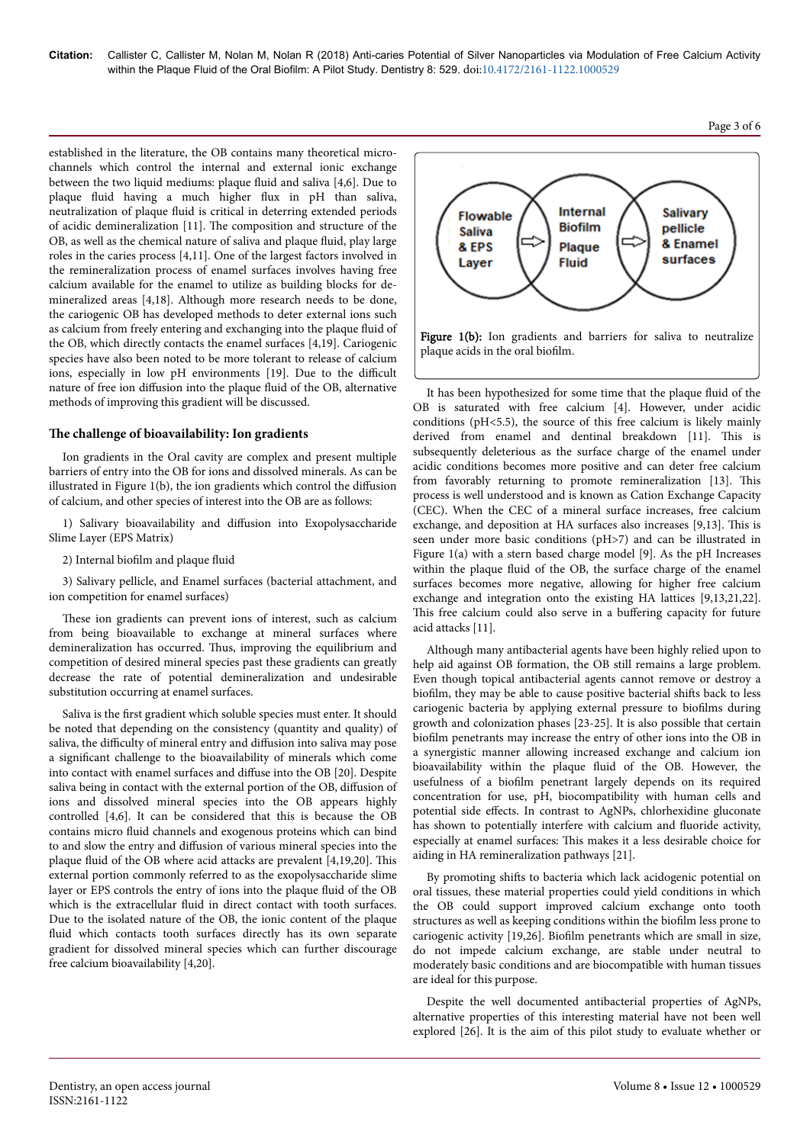established in the literature, the OB contains many theoretical microchannels which control the internal and external ionic exchange between the two liquid mediums: plaque fluid and saliva [4,6]. Due to plaque fluid having a much higher flux in pH than saliva, neutralization of plaque fluid is critical in deterring extended periods of acidic demineralization [11]. Нe composition and structure of the OB, as well as the chemical nature of saliva and plaque fluid, play large roles in the caries process [4,11]. One of the largest factors involved in the remineralization process of enamel surfaces involves having free calcium available for the enamel to utilize as building blocks for demineralized areas [4,18]. Although more research needs to be done, the cariogenic OB has developed methods to deter external ions such as calcium from freely entering and exchanging into the plaque fluid of the OB, which directly contacts the enamel surfaces [4,19]. Cariogenic species have also been noted to be more tolerant to release of calcium ions, especially in low pH environments [19]. Due to the difficult nature of free ion diffusion into the plaque fluid of the OB, alternative methods of improving this gradient will be discussed.

#### The challenge of bioavailability: Ion gradients

Ion gradients in the Oral cavity are complex and present multiple barriers of entry into the OB for ions and dissolved minerals. As can be illustrated in Figure  $1(b)$ , the ion gradients which control the diffusion of calcium, and other species of interest into the OB are as follows:

1) Salivary bioavailability and diffusion into Exopolysaccharide Slime Layer (EPS Matrix)

2) Internal biofilm and plaque fluid

3) Salivary pellicle, and Enamel surfaces (bacterial attachment, and ion competition for enamel surfaces)

These ion gradients can prevent ions of interest, such as calcium from being bioavailable to exchange at mineral surfaces where demineralization has occurred. Нus, improving the equilibrium and competition of desired mineral species past these gradients can greatly decrease the rate of potential demineralization and undesirable substitution occurring at enamel surfaces.

Saliva is the first gradient which soluble species must enter. It should be noted that depending on the consistency (quantity and quality) of saliva, the difficulty of mineral entry and diffusion into saliva may pose a significant challenge to the bioavailability of minerals which come into contact with enamel surfaces and diffuse into the OB [20]. Despite saliva being in contact with the external portion of the OB, diffusion of ions and dissolved mineral species into the OB appears highly controlled [4,6]. It can be considered that this is because the OB contains micro fluid channels and exogenous proteins which can bind to and slow the entry and diffusion of various mineral species into the plaque fluid of the OB where acid attacks are prevalent [4,19,20]. Нis external portion commonly referred to as the exopolysaccharide slime layer or EPS controls the entry of ions into the plaque fluid of the OB which is the extracellular fluid in direct contact with tooth surfaces. Due to the isolated nature of the OB, the ionic content of the plaque fluid which contacts tooth surfaces directly has its own separate gradient for dissolved mineral species which can further discourage free calcium bioavailability [4,20].



It has been hypothesized for some time that the plaque fluid of the OB is saturated with free calcium [4]. However, under acidic conditions (pH<5.5), the source of this free calcium is likely mainly derived from enamel and dentinal breakdown [11]. This is subsequently deleterious as the surface charge of the enamel under acidic conditions becomes more positive and can deter free calcium from favorably returning to promote remineralization [13]. This process is well understood and is known as Cation Exchange Capacity (CEC). When the CEC of a mineral surface increases, free calcium exchange, and deposition at HA surfaces also increases [9,13]. Нis is seen under more basic conditions (pH>7) and can be illustrated in Figure 1(a) with a stern based charge model [9]. As the pH Increases within the plaque fluid of the OB, the surface charge of the enamel surfaces becomes more negative, allowing for higher free calcium exchange and integration onto the existing HA lattices [9,13,21,22]. This free calcium could also serve in a buffering capacity for future acid attacks [11].

Although many antibacterial agents have been highly relied upon to help aid against OB formation, the OB still remains a large problem. Even though topical antibacterial agents cannot remove or destroy a biofilm, they may be able to cause positive bacterial shifts back to less cariogenic bacteria by applying external pressure to biofilms during growth and colonization phases [23-25]. It is also possible that certain biofilm penetrants may increase the entry of other ions into the OB in a synergistic manner allowing increased exchange and calcium ion bioavailability within the plaque fluid of the OB. However, the usefulness of a biofilm penetrant largely depends on its required concentration for use, pH, biocompatibility with human cells and potential side effects. In contrast to AgNPs, chlorhexidine gluconate has shown to potentially interfere with calcium and fluoride activity, especially at enamel surfaces: Нis makes it a less desirable choice for aiding in HA remineralization pathways [21].

By promoting shifts to bacteria which lack acidogenic potential on oral tissues, these material properties could yield conditions in which the OB could support improved calcium exchange onto tooth structures as well as keeping conditions within the biofilm less prone to cariogenic activity [19,26]. Biofilm penetrants which are small in size, do not impede calcium exchange, are stable under neutral to moderately basic conditions and are biocompatible with human tissues are ideal for this purpose.

Despite the well documented antibacterial properties of AgNPs, alternative properties of this interesting material have not been well explored [26]. It is the aim of this pilot study to evaluate whether or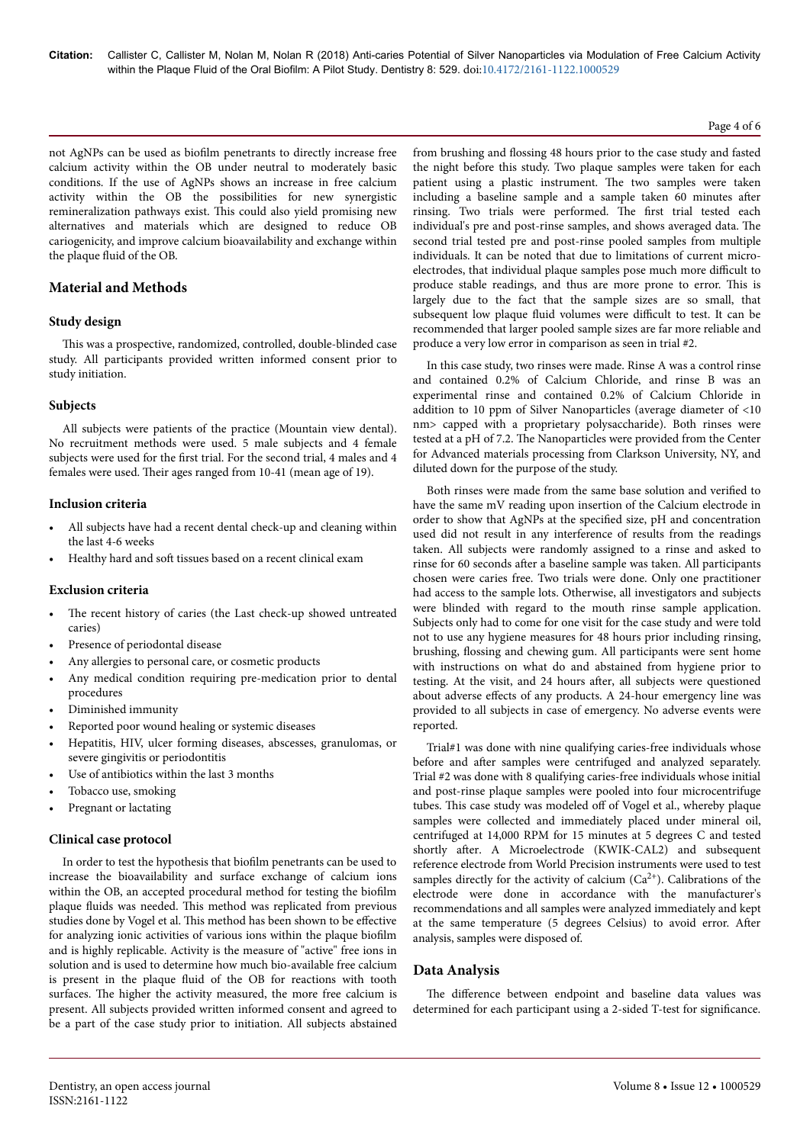#### Page 4 of 6

not AgNPs can be used as biofilm penetrants to directly increase free calcium activity within the OB under neutral to moderately basic conditions. If the use of AgNPs shows an increase in free calcium activity within the OB the possibilities for new synergistic remineralization pathways exist. Нis could also yield promising new alternatives and materials which are designed to reduce OB cariogenicity, and improve calcium bioavailability and exchange within the plaque fluid of the OB.

# **Material and Methods**

# **Study design**

This was a prospective, randomized, controlled, double-blinded case study. All participants provided written informed consent prior to study initiation.

# **Subjects**

All subjects were patients of the practice (Mountain view dental). No recruitment methods were used. 5 male subjects and 4 female subjects were used for the first trial. For the second trial, 4 males and 4 females were used. Нeir ages ranged from 10-41 (mean age of 19).

#### **Inclusion criteria**

- All subjects have had a recent dental check-up and cleaning within the last 4-6 weeks
- Healthy hard and soft tissues based on a recent clinical exam

#### **Exclusion criteria**

- The recent history of caries (the Last check-up showed untreated caries)
- Presence of periodontal disease
- Any allergies to personal care, or cosmetic products
- Any medical condition requiring pre-medication prior to dental procedures
- Diminished immunity
- Reported poor wound healing or systemic diseases
- Hepatitis, HIV, ulcer forming diseases, abscesses, granulomas, or severe gingivitis or periodontitis
- Use of antibiotics within the last 3 months
- Tobacco use, smoking
- Pregnant or lactating

# **Clinical case protocol**

In order to test the hypothesis that biofilm penetrants can be used to increase the bioavailability and surface exchange of calcium ions within the OB, an accepted procedural method for testing the biofilm plaque fluids was needed. Нis method was replicated from previous studies done by Vogel et al. This method has been shown to be effective for analyzing ionic activities of various ions within the plaque biofilm and is highly replicable. Activity is the measure of "active" free ions in solution and is used to determine how much bio-available free calcium is present in the plaque fluid of the OB for reactions with tooth surfaces. Нe higher the activity measured, the more free calcium is present. All subjects provided written informed consent and agreed to be a part of the case study prior to initiation. All subjects abstained

from brushing and flossing 48 hours prior to the case study and fasted the night before this study. Two plaque samples were taken for each patient using a plastic instrument. Нe two samples were taken including a baseline sample and a sample taken 60 minutes after rinsing. Two trials were performed. Нe first trial tested each individual's pre and post-rinse samples, and shows averaged data. Нe second trial tested pre and post-rinse pooled samples from multiple individuals. It can be noted that due to limitations of current microelectrodes, that individual plaque samples pose much more difficult to produce stable readings, and thus are more prone to error. Нis is largely due to the fact that the sample sizes are so small, that subsequent low plaque fluid volumes were difficult to test. It can be recommended that larger pooled sample sizes are far more reliable and produce a very low error in comparison as seen in trial #2.

In this case study, two rinses were made. Rinse A was a control rinse and contained 0.2% of Calcium Chloride, and rinse B was an experimental rinse and contained 0.2% of Calcium Chloride in addition to 10 ppm of Silver Nanoparticles (average diameter of <10 nm> capped with a proprietary polysaccharide). Both rinses were tested at a pH of 7.2. Нe Nanoparticles were provided from the Center for Advanced materials processing from Clarkson University, NY, and diluted down for the purpose of the study.

Both rinses were made from the same base solution and verified to have the same mV reading upon insertion of the Calcium electrode in order to show that AgNPs at the specified size, pH and concentration used did not result in any interference of results from the readings taken. All subjects were randomly assigned to a rinse and asked to rinse for 60 seconds after a baseline sample was taken. All participants chosen were caries free. Two trials were done. Only one practitioner had access to the sample lots. Otherwise, all investigators and subjects were blinded with regard to the mouth rinse sample application. Subjects only had to come for one visit for the case study and were told not to use any hygiene measures for 48 hours prior including rinsing, brushing, flossing and chewing gum. All participants were sent home with instructions on what do and abstained from hygiene prior to testing. At the visit, and 24 hours after, all subjects were questioned about adverse effects of any products. A 24-hour emergency line was provided to all subjects in case of emergency. No adverse events were reported.

Trial#1 was done with nine qualifying caries-free individuals whose before and after samples were centrifuged and analyzed separately. Trial #2 was done with 8 qualifying caries-free individuals whose initial and post-rinse plaque samples were pooled into four microcentrifuge tubes. This case study was modeled off of Vogel et al., whereby plaque samples were collected and immediately placed under mineral oil, centrifuged at 14,000 RPM for 15 minutes at 5 degrees C and tested shortly after. A Microelectrode (KWIK-CAL2) and subsequent reference electrode from World Precision instruments were used to test samples directly for the activity of calcium  $(Ca^{2+})$ . Calibrations of the electrode were done in accordance with the manufacturer's recommendations and all samples were analyzed immediately and kept at the same temperature (5 degrees Celsius) to avoid error. After analysis, samples were disposed of.

# **Data Analysis**

The difference between endpoint and baseline data values was determined for each participant using a 2-sided T-test for significance.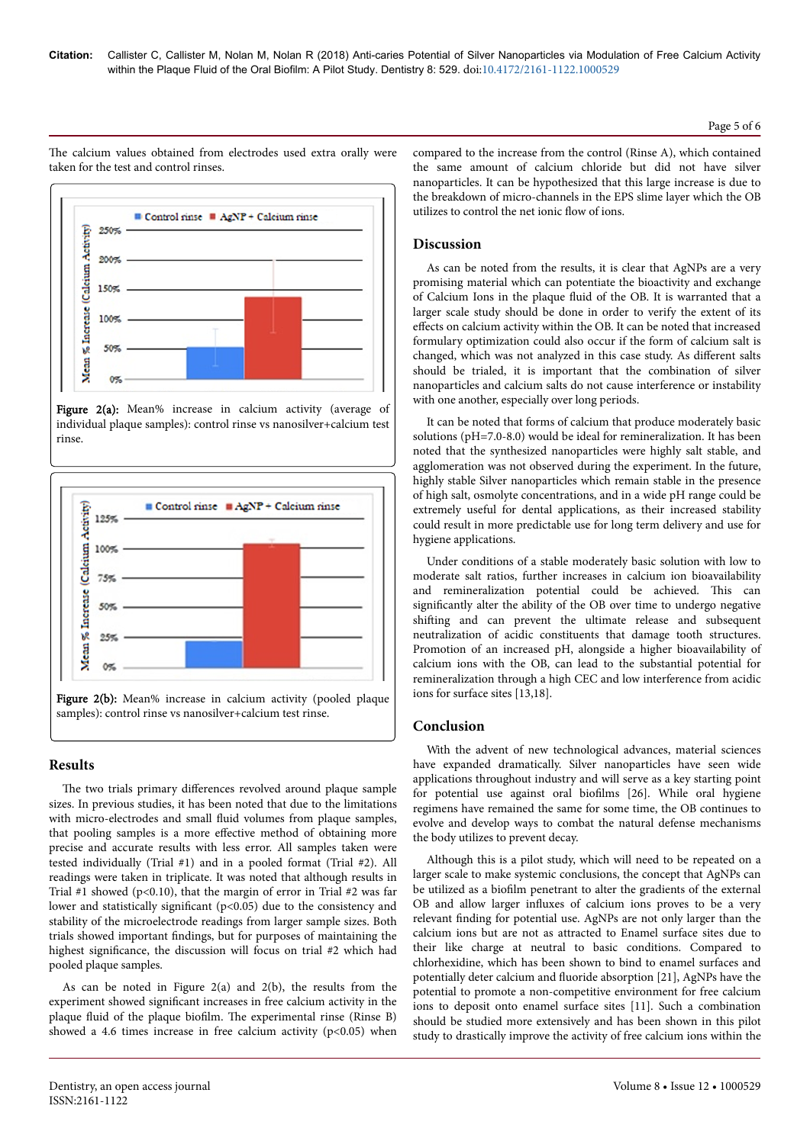Page 5 of 6

The calcium values obtained from electrodes used extra orally were taken for the test and control rinses.



Figure 2(a): Mean% increase in calcium activity (average of individual plaque samples): control rinse vs nanosilver+calcium test rinse.



# **Results**

The two trials primary differences revolved around plaque sample sizes. In previous studies, it has been noted that due to the limitations with micro-electrodes and small fluid volumes from plaque samples, that pooling samples is a more effective method of obtaining more precise and accurate results with less error. All samples taken were tested individually (Trial #1) and in a pooled format (Trial #2). All readings were taken in triplicate. It was noted that although results in Trial #1 showed ( $p<0.10$ ), that the margin of error in Trial #2 was far lower and statistically significant (p<0.05) due to the consistency and stability of the microelectrode readings from larger sample sizes. Both trials showed important findings, but for purposes of maintaining the highest significance, the discussion will focus on trial #2 which had pooled plaque samples.

As can be noted in Figure 2(a) and 2(b), the results from the experiment showed significant increases in free calcium activity in the plaque fluid of the plaque biofilm. Нe experimental rinse (Rinse B) showed a 4.6 times increase in free calcium activity  $(p<0.05)$  when compared to the increase from the control (Rinse A), which contained the same amount of calcium chloride but did not have silver nanoparticles. It can be hypothesized that this large increase is due to the breakdown of micro-channels in the EPS slime layer which the OB utilizes to control the net ionic flow of ions.

# **Discussion**

As can be noted from the results, it is clear that AgNPs are a very promising material which can potentiate the bioactivity and exchange of Calcium Ions in the plaque fluid of the OB. It is warranted that a larger scale study should be done in order to verify the extent of its effects on calcium activity within the OB. It can be noted that increased formulary optimization could also occur if the form of calcium salt is changed, which was not analyzed in this case study. As different salts should be trialed, it is important that the combination of silver nanoparticles and calcium salts do not cause interference or instability with one another, especially over long periods.

It can be noted that forms of calcium that produce moderately basic solutions (pH=7.0-8.0) would be ideal for remineralization. It has been noted that the synthesized nanoparticles were highly salt stable, and agglomeration was not observed during the experiment. In the future, highly stable Silver nanoparticles which remain stable in the presence of high salt, osmolyte concentrations, and in a wide pH range could be extremely useful for dental applications, as their increased stability could result in more predictable use for long term delivery and use for hygiene applications.

Under conditions of a stable moderately basic solution with low to moderate salt ratios, further increases in calcium ion bioavailability and remineralization potential could be achieved. Нis can significantly alter the ability of the OB over time to undergo negative shifting and can prevent the ultimate release and subsequent neutralization of acidic constituents that damage tooth structures. Promotion of an increased pH, alongside a higher bioavailability of calcium ions with the OB, can lead to the substantial potential for remineralization through a high CEC and low interference from acidic ions for surface sites [13,18].

# **Conclusion**

With the advent of new technological advances, material sciences have expanded dramatically. Silver nanoparticles have seen wide applications throughout industry and will serve as a key starting point for potential use against oral biofilms [26]. While oral hygiene regimens have remained the same for some time, the OB continues to evolve and develop ways to combat the natural defense mechanisms the body utilizes to prevent decay.

Although this is a pilot study, which will need to be repeated on a larger scale to make systemic conclusions, the concept that AgNPs can be utilized as a biofilm penetrant to alter the gradients of the external OB and allow larger influxes of calcium ions proves to be a very relevant finding for potential use. AgNPs are not only larger than the calcium ions but are not as attracted to Enamel surface sites due to their like charge at neutral to basic conditions. Compared to chlorhexidine, which has been shown to bind to enamel surfaces and potentially deter calcium and fluoride absorption [21], AgNPs have the potential to promote a non-competitive environment for free calcium ions to deposit onto enamel surface sites [11]. Such a combination should be studied more extensively and has been shown in this pilot study to drastically improve the activity of free calcium ions within the